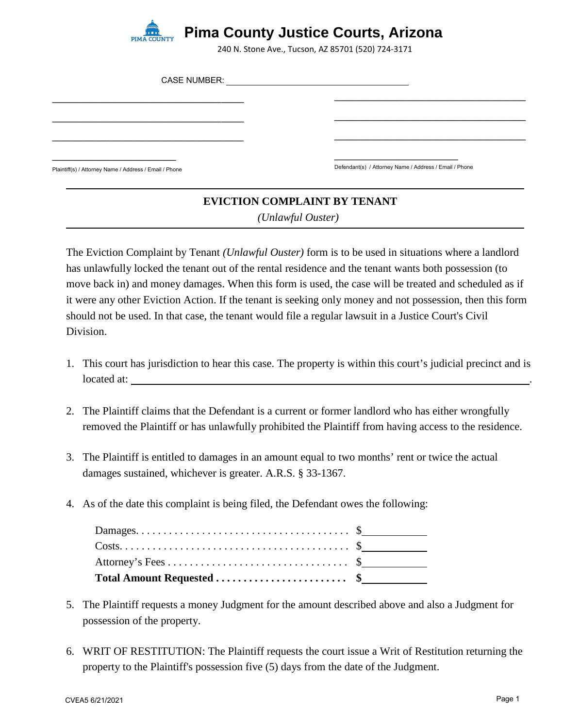

240 N. Stone Ave., Tucson, AZ 85701 (520) 724-3171

| <b>CASE NUMBER:</b>                                    |                                                        |  |
|--------------------------------------------------------|--------------------------------------------------------|--|
|                                                        |                                                        |  |
|                                                        |                                                        |  |
|                                                        |                                                        |  |
| Plaintiff(s) / Attorney Name / Address / Email / Phone | Defendant(s) / Attorney Name / Address / Email / Phone |  |

## **EVICTION COMPLAINT BY TENANT**  *(Unlawful Ouster)*

The Eviction Complaint by Tenant *(Unlawful Ouster)* form is to be used in situations where a landlord has unlawfully locked the tenant out of the rental residence and the tenant wants both possession (to move back in) and money damages. When this form is used, the case will be treated and scheduled as if it were any other Eviction Action. If the tenant is seeking only money and not possession, then this form should not be used. In that case, the tenant would file a regular lawsuit in a Justice Court's Civil Division.

- 1. This court has jurisdiction to hear this case. The property is within this court's judicial precinct and is located at: .
- 2. The Plaintiff claims that the Defendant is a current or former landlord who has either wrongfully removed the Plaintiff or has unlawfully prohibited the Plaintiff from having access to the residence.
- 3. The Plaintiff is entitled to damages in an amount equal to two months' rent or twice the actual damages sustained, whichever is greater. A.R.S. § 33-1367.
- 4. As of the date this complaint is being filed, the Defendant owes the following:

| $\text{Costs.} \dots \dots \dots \dots \dots \dots \dots \dots \dots \dots \dots \$ |  |
|-------------------------------------------------------------------------------------|--|
|                                                                                     |  |
|                                                                                     |  |

- 5. The Plaintiff requests a money Judgment for the amount described above and also a Judgment for possession of the property.
- 6. WRIT OF RESTITUTION: The Plaintiff requests the court issue a Writ of Restitution returning the property to the Plaintiff's possession five (5) days from the date of the Judgment.